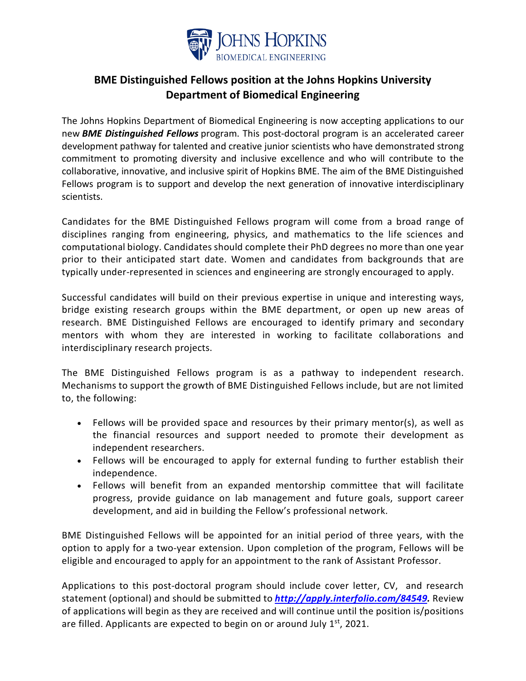

## **BME Distinguished Fellows position at the Johns Hopkins University Department of Biomedical Engineering**

The Johns Hopkins Department of Biomedical Engineering is now accepting applications to our new *BME Distinguished Fellows* program. This post-doctoral program is an accelerated career development pathway for talented and creative junior scientists who have demonstrated strong commitment to promoting diversity and inclusive excellence and who will contribute to the collaborative, innovative, and inclusive spirit of Hopkins BME. The aim of the BME Distinguished Fellows program is to support and develop the next generation of innovative interdisciplinary scientists.

Candidates for the BME Distinguished Fellows program will come from a broad range of disciplines ranging from engineering, physics, and mathematics to the life sciences and computational biology. Candidates should complete their PhD degrees no more than one year prior to their anticipated start date. Women and candidates from backgrounds that are typically under-represented in sciences and engineering are strongly encouraged to apply.

Successful candidates will build on their previous expertise in unique and interesting ways, bridge existing research groups within the BME department, or open up new areas of research. BME Distinguished Fellows are encouraged to identify primary and secondary mentors with whom they are interested in working to facilitate collaborations and interdisciplinary research projects.

The BME Distinguished Fellows program is as a pathway to independent research. Mechanisms to support the growth of BME Distinguished Fellows include, but are not limited to, the following:

- Fellows will be provided space and resources by their primary mentor(s), as well as the financial resources and support needed to promote their development as independent researchers.
- Fellows will be encouraged to apply for external funding to further establish their independence.
- Fellows will benefit from an expanded mentorship committee that will facilitate progress, provide guidance on lab management and future goals, support career development, and aid in building the Fellow's professional network.

BME Distinguished Fellows will be appointed for an initial period of three years, with the option to apply for a two-year extension. Upon completion of the program, Fellows will be eligible and encouraged to apply for an appointment to the rank of Assistant Professor.

Applications to this post-doctoral program should include cover letter, CV, and research statement (optional) and should be submitted to *[http://apply.interfolio.com/84549.](http://apply.interfolio.com/84549)* Review of applications will begin as they are received and will continue until the position is/positions are filled. Applicants are expected to begin on or around July  $1<sup>st</sup>$ , 2021.